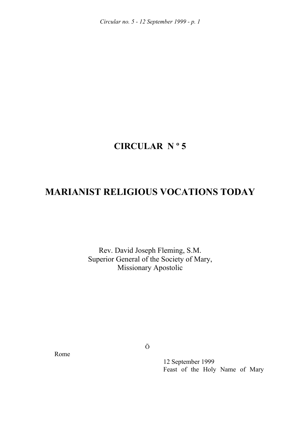## **CIRCULAR N º 5**

# **MARIANIST RELIGIOUS VOCATIONS TODAY**

Rev. David Joseph Fleming, S.M. Superior General of the Society of Mary, Missionary Apostolic

Rome

Ö

 12 September 1999 Feast of the Holy Name of Mary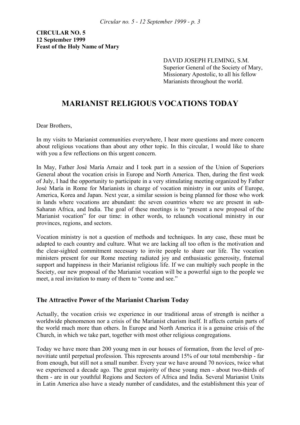**CIRCULAR NO. 5 12 September 1999 Feast of the Holy Name of Mary** 

> DAVID JOSEPH FLEMING, S.M. Superior General of the Society of Mary, Missionary Apostolic, to all his fellow Marianists throughout the world.

## **MARIANIST RELIGIOUS VOCATIONS TODAY**

Dear Brothers,

In my visits to Marianist communities everywhere, I hear more questions and more concern about religious vocations than about any other topic. In this circular, I would like to share with you a few reflections on this urgent concern.

In May, Father José María Arnaiz and I took part in a session of the Union of Superiors General about the vocation crisis in Europe and North America. Then, during the first week of July, I had the opportunity to participate in a very stimulating meeting organized by Father José María in Rome for Marianists in charge of vocation ministry in our units of Europe, America, Korea and Japan. Next year, a similar session is being planned for those who work in lands where vocations are abundant: the seven countries where we are present in sub-Saharan Africa, and India. The goal of these meetings is to "present a new proposal of the Marianist vocation" for our time: in other words, to relaunch vocational ministry in our provinces, regions, and sectors.

Vocation ministry is not a question of methods and techniques. In any case, these must be adapted to each country and culture. What we are lacking all too often is the motivation and the clear-sighted commitment necessary to invite people to share our life. The vocation ministers present for our Rome meeting radiated joy and enthusiastic generosity, fraternal support and happiness in their Marianist religious life. If we can multiply such people in the Society, our new proposal of the Marianist vocation will be a powerful sign to the people we meet, a real invitation to many of them to "come and see."

## **The Attractive Power of the Marianist Charism Today**

Actually, the vocation crisis we experience in our traditional areas of strength is neither a worldwide phenomenon nor a crisis of the Marianist charism itself. It affects certain parts of the world much more than others. In Europe and North America it is a genuine crisis of the Church, in which we take part, together with most other religious congregations.

Today we have more than 200 young men in our houses of formation, from the level of prenovitiate until perpetual profession. This represents around 15% of our total membership - far from enough, but still not a small number. Every year we have around 70 novices, twice what we experienced a decade ago. The great majority of these young men - about two-thirds of them - are in our youthful Regions and Sectors of Africa and India. Several Marianist Units in Latin America also have a steady number of candidates, and the establishment this year of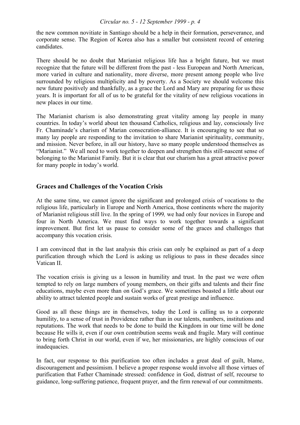the new common novitiate in Santiago should be a help in their formation, perseverance, and corporate sense. The Region of Korea also has a smaller but consistent record of entering candidates.

There should be no doubt that Marianist religious life has a bright future, but we must recognize that the future will be different from the past - less European and North American, more varied in culture and nationality, more diverse, more present among people who live surrounded by religious multiplicity and by poverty. As a Society we should welcome this new future positively and thankfully, as a grace the Lord and Mary are preparing for us these years. It is important for all of us to be grateful for the vitality of new religious vocations in new places in our time.

The Marianist charism is also demonstrating great vitality among lay people in many countries. In today's world about ten thousand Catholics, religious and lay, consciously live Fr. Chaminade's charism of Marian consecration-alliance. It is encouraging to see that so many lay people are responding to the invitation to share Marianist spirituality, community, and mission. Never before, in all our history, have so many people understood themselves as "Marianist." We all need to work together to deepen and strengthen this still-nascent sense of belonging to the Marianist Family. But it is clear that our charism has a great attractive power for many people in today's world.

## **Graces and Challenges of the Vocation Crisis**

At the same time, we cannot ignore the significant and prolonged crisis of vocations to the religious life, particularly in Europe and North America, those continents where the majority of Marianist religious still live. In the spring of 1999*,* we had only four novices in Europe and four in North America. We must find ways to work together towards a significant improvement. But first let us pause to consider some of the graces and challenges that accompany this vocation crisis.

I am convinced that in the last analysis this crisis can only be explained as part of a deep purification through which the Lord is asking us religious to pass in these decades since Vatican II.

The vocation crisis is giving us a lesson in humility and trust. In the past we were often tempted to rely on large numbers of young members, on their gifts and talents and their fine educations, maybe even more than on God's grace. We sometimes boasted a little about our ability to attract talented people and sustain works of great prestige and influence.

Good as all these things are in themselves, today the Lord is calling us to a corporate humility, to a sense of trust in Providence rather than in our talents, numbers, institutions and reputations. The work that needs to be done to build the Kingdom in our time will be done because He wills it, even if our own contribution seems weak and fragile. Mary will continue to bring forth Christ in our world, even if we, her missionaries, are highly conscious of our inadequacies.

In fact, our response to this purification too often includes a great deal of guilt, blame, discouragement and pessimism. I believe a proper response would involve all those virtues of purification that Father Chaminade stressed: confidence in God, distrust of self, recourse to guidance, long-suffering patience, frequent prayer, and the firm renewal of our commitments.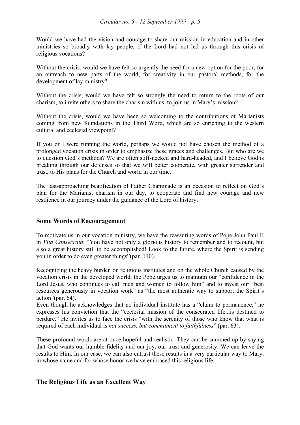Would we have had the vision and courage to share our mission in education and in other ministries so broadly with lay people, if the Lord had not led us through this crisis of religious vocations?

Without the crisis, would we have felt so urgently the need for a new option for the poor, for an outreach to new parts of the world, for creativity in our pastoral methods, for the development of lay ministry?

Without the crisis, would we have felt so strongly the need to return to the roots of our charism, to invite others to share the charism with us, to join us in Mary's mission?

Without the crisis, would we have been so welcoming to the contributions of Marianists coming from new foundations in the Third Word, which are so enriching to the western cultural and ecclesial viewpoint?

If you or I were running the world, perhaps we would not have chosen the method of a prolonged vocation crisis in order to emphasize these graces and challenges. But who are we to question God's methods? We are often stiff-necked and hard-headed, and I believe God is breaking through our defenses so that we will better cooperate, with greater surrender and trust, to His plans for the Church and world in our time.

The fast-approaching beatification of Father Chaminade is an occasion to reflect on God's plan for the Marianist charism in our day, to cooperate and find new courage and new resilience in our journey under the guidance of the Lord of history.

## **Some Words of Encouragement**

To motivate us in our vocation ministry, we have the reassuring words of Pope John Paul II in *Vita Consecrata*: "You have not only a glorious history to remember and to recount, but also a great history still to be accomplished! Look to the future, where the Spirit is sending you in order to do even greater things"(par. 110).

Recognizing the heavy burden on religious institutes and on the whole Church caused by the vocation crisis in the developed world, the Pope urges us to maintain our "confidence in the Lord Jesus, who continues to call men and women to follow him" and to invest our "best resources generously in vocation work" as "the most authentic way to support the Spirit's action"(par. 64).

Even though he acknowledges that no individual institute has a "claim to permanence," he expresses his conviction that the "ecclesial mission of the consecrated life...is destined to perdure." He invites us to face the crisis "with the serenity of those who know that what is required of each individual is *not success, but commitment to faithfulness*" (par. 63).

These profound words are at once hopeful and realistic. They can be summed up by saying that God wants our humble fidelity and our joy, our trust and generosity. We can leave the results to Him. In our case, we can also entrust these results in a very particular way to Mary, in whose name and for whose honor we have embraced this religious life.

## **The Religious Life as an Excellent Way**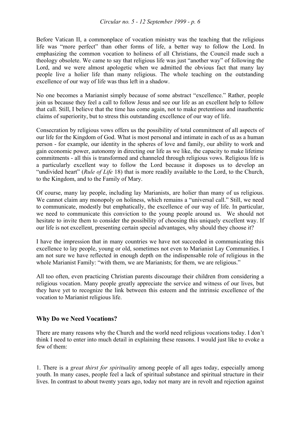Before Vatican II, a commonplace of vocation ministry was the teaching that the religious life was "more perfect" than other forms of life, a better way to follow the Lord. In emphasizing the common vocation to holiness of all Christians, the Council made such a theology obsolete. We came to say that religious life was just "another way" of following the Lord, and we were almost apologetic when we admitted the obvious fact that many lay people live a holier life than many religious. The whole teaching on the outstanding excellence of our way of life was thus left in a shadow.

No one becomes a Marianist simply because of some abstract "excellence." Rather, people join us because they feel a call to follow Jesus and see our life as an excellent help to follow that call. Still, I believe that the time has come again, not to make pretentious and inauthentic claims of superiority, but to stress this outstanding excellence of our way of life.

Consecration by religious vows offers us the possibility of total commitment of all aspects of our life for the Kingdom of God. What is most personal and intimate in each of us as a human person - for example, our identity in the spheres of love and family, our ability to work and gain economic power, autonomy in directing our life as we like, the capacity to make lifetime commitments - all this is transformed and channeled through religious vows. Religious life is a particularly excellent way to follow the Lord because it disposes us to develop an "undivided heart" (*Rule of Life* 18) that is more readily available to the Lord, to the Church, to the Kingdom, and to the Family of Mary.

Of course, many lay people, including lay Marianists, are holier than many of us religious. We cannot claim any monopoly on holiness, which remains a "universal call." Still, we need to communicate, modestly but emphatically, the excellence of our way of life. In particular, we need to communicate this conviction to the young people around us. We should not hesitate to invite them to consider the possibility of choosing this uniquely excellent way. If our life is not excellent, presenting certain special advantages, why should they choose it?

I have the impression that in many countries we have not succeeded in communicating this excellence to lay people, young or old, sometimes not even to Marianist Lay Communities. I am not sure we have reflected in enough depth on the indispensable role of religious in the whole Marianist Family: "with them, we are Marianists; for them, we are religious."

All too often, even practicing Christian parents discourage their children from considering a religious vocation. Many people greatly appreciate the service and witness of our lives, but they have yet to recognize the link between this esteem and the intrinsic excellence of the vocation to Marianist religious life.

## **Why Do we Need Vocations?**

There are many reasons why the Church and the world need religious vocations today. I don't think I need to enter into much detail in explaining these reasons. I would just like to evoke a few of them:

1. There is a *great thirst for spirituality* among people of all ages today, especially among youth. In many cases, people feel a lack of spiritual substance and spiritual structure in their lives. In contrast to about twenty years ago, today not many are in revolt and rejection against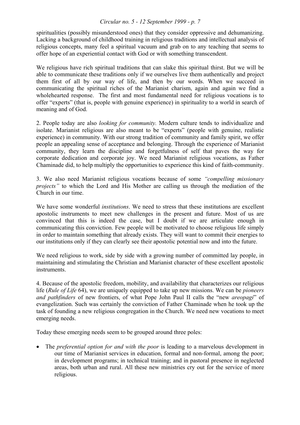spiritualities (possibly misunderstood ones) that they consider oppressive and dehumanizing. Lacking a background of childhood training in religious traditions and intellectual analysis of religious concepts, many feel a spiritual vacuum and grab on to any teaching that seems to offer hope of an experiential contact with God or with something transcendent.

We religious have rich spiritual traditions that can slake this spiritual thirst. But we will be able to communicate these traditions only if we ourselves live them authentically and project them first of all by our way of life, and then by our words. When we succeed in communicating the spiritual riches of the Marianist charism, again and again we find a wholehearted response. The first and most fundamental need for religious vocations is to offer "experts" (that is, people with genuine experience) in spirituality to a world in search of meaning and of God.

2. People today are also *looking for community.* Modern culture tends to individualize and isolate. Marianist religious are also meant to be "experts" (people with genuine, realistic experience) in community. With our strong tradition of community and family spirit, we offer people an appealing sense of acceptance and belonging. Through the experience of Marianist community, they learn the discipline and forgetfulness of self that paves the way for corporate dedication and corporate joy. We need Marianist religious vocations, as Father Chaminade did, to help multiply the opportunities to experience this kind of faith-community.

3. We also need Marianist religious vocations because of some *"compelling missionary projects*" to which the Lord and His Mother are calling us through the mediation of the Church in our time.

We have some wonderful *institutions*. We need to stress that these institutions are excellent apostolic instruments to meet new challenges in the present and future. Most of us are convinced that this is indeed the case, but I doubt if we are articulate enough in communicating this conviction. Few people will be motivated to choose religious life simply in order to maintain something that already exists. They will want to commit their energies to our institutions only if they can clearly see their apostolic potential now and into the future.

We need religious to work, side by side with a growing number of committed lay people, in maintaining and stimulating the Christian and Marianist character of these excellent apostolic instruments.

4. Because of the apostolic freedom, mobility, and availability that characterizes our religious life (*Rule of Life* 64), we are uniquely equipped to take up new missions. We can be *pioneers and pathfinders* of new frontiers, of what Pope John Paul II calls the "new *areopagi*" of evangelization. Such was certainly the conviction of Father Chaminade when he took up the task of founding a new religious congregation in the Church. We need new vocations to meet emerging needs.

Today these emerging needs seem to be grouped around three poles:

• The *preferential option for and with the poor* is leading to a marvelous development in our time of Marianist services in education, formal and non-formal, among the poor; in development programs; in technical training; and in pastoral presence in neglected areas, both urban and rural. All these new ministries cry out for the service of more religious.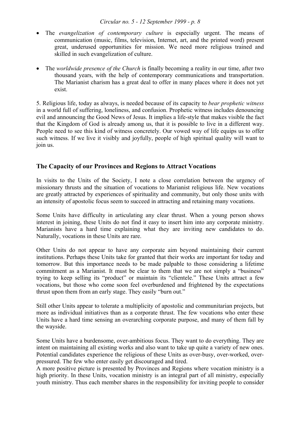- The *evangelization of contemporary culture* is especially urgent. The means of communication (music, films, television, Internet, art, and the printed word) present great, underused opportunities for mission. We need more religious trained and skilled in such evangelization of culture.
- The *worldwide presence of the Church* is finally becoming a reality in our time, after two thousand years, with the help of contemporary communications and transportation. The Marianist charism has a great deal to offer in many places where it does not yet exist.

5. Religious life, today as always, is needed because of its capacity to *bear prophetic witness* in a world full of suffering, loneliness, and confusion. Prophetic witness includes denouncing evil and announcing the Good News of Jesus. It implies a life-style that makes visible the fact that the Kingdom of God is already among us, that it is possible to live in a different way. People need to see this kind of witness concretely. Our vowed way of life equips us to offer such witness. If we live it visibly and joyfully, people of high spiritual quality will want to join us.

## **The Capacity of our Provinces and Regions to Attract Vocations**

In visits to the Units of the Society, I note a close correlation between the urgency of missionary thrusts and the situation of vocations to Marianist religious life. New vocations are greatly attracted by experiences of spirituality and community, but only those units with an intensity of apostolic focus seem to succeed in attracting and retaining many vocations.

Some Units have difficulty in articulating any clear thrust. When a young person shows interest in joining, these Units do not find it easy to insert him into any corporate ministry. Marianists have a hard time explaining what they are inviting new candidates to do. Naturally, vocations in these Units are rare.

Other Units do not appear to have any corporate aim beyond maintaining their current institutions. Perhaps these Units take for granted that their works are important for today and tomorrow. But this importance needs to be made palpable to those considering a lifetime commitment as a Marianist. It must be clear to them that we are not simply a "business" trying to keep selling its "product" or maintain its "clientele." These Units attract a few vocations, but those who come soon feel overburdened and frightened by the expectations thrust upon them from an early stage. They easily "burn out."

Still other Units appear to tolerate a multiplicity of apostolic and communitarian projects, but more as individual initiatives than as a corporate thrust. The few vocations who enter these Units have a hard time sensing an overarching corporate purpose, and many of them fall by the wayside.

Some Units have a burdensome, over-ambitious focus. They want to do everything. They are intent on maintaining all existing works and also want to take up quite a variety of new ones. Potential candidates experience the religious of these Units as over-busy, over-worked, overpressured. The few who enter easily get discouraged and tired.

A more positive picture is presented by Provinces and Regions where vocation ministry is a high priority. In these Units, vocation ministry is an integral part of all ministry, especially youth ministry. Thus each member shares in the responsibility for inviting people to consider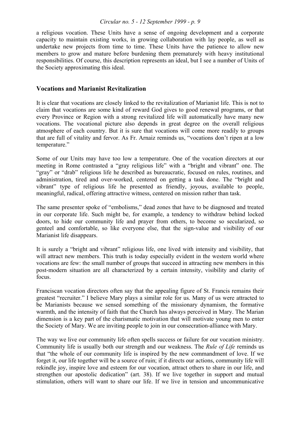a religious vocation. These Units have a sense of ongoing development and a corporate capacity to maintain existing works, in growing collaboration with lay people, as well as undertake new projects from time to time. These Units have the patience to allow new members to grow and mature before burdening them prematurely with heavy institutional responsibilities. Of course, this description represents an ideal, but I see a number of Units of the Society approximating this ideal.

## **Vocations and Marianist Revitalization**

It is clear that vocations are closely linked to the revitalization of Marianist life. This is not to claim that vocations are some kind of reward God gives to good renewal programs, or that every Province or Region with a strong revitalized life will automatically have many new vocations. The vocational picture also depends in great degree on the overall religious atmosphere of each country. But it is sure that vocations will come more readily to groups that are full of vitality and fervor. As Fr. Arnaiz reminds us, "vocations don't ripen at a low temperature."

Some of our Units may have too low a temperature. One of the vocation directors at our meeting in Rome contrasted a "gray religious life" with a "bright and vibrant" one. The "gray" or "drab" religious life he described as bureaucratic, focused on rules, routines, and administration, tired and over-worked, centered on getting a task done. The "bright and vibrant" type of religious life he presented as friendly, joyous, available to people, meaningful, radical, offering attractive witness, centered on mission rather than task.

The same presenter spoke of "embolisms," dead zones that have to be diagnosed and treated in our corporate life. Such might be, for example, a tendency to withdraw behind locked doors, to hide our community life and prayer from others, to become so secularized, so genteel and comfortable, so like everyone else, that the sign-value and visibility of our Marianist life disappears.

It is surely a "bright and vibrant" religious life, one lived with intensity and visibility, that will attract new members. This truth is today especially evident in the western world where vocations are few: the small number of groups that succeed in attracting new members in this post-modern situation are all characterized by a certain intensity, visibility and clarity of focus.

Franciscan vocation directors often say that the appealing figure of St. Francis remains their greatest "recruiter." I believe Mary plays a similar role for us. Many of us were attracted to be Marianists because we sensed something of the missionary dynamism, the formative warmth, and the intensity of faith that the Church has always perceived in Mary. The Marian dimension is a key part of the charismatic motivation that will motivate young men to enter the Society of Mary. We are inviting people to join in our consecration-alliance with Mary.

The way we live our community life often spells success or failure for our vocation ministry. Community life is usually both our strength and our weakness. The *Rule of Life* reminds us that "the whole of our community life is inspired by the new commandment of love. If we forget it, our life together will be a source of ruin; if it directs our actions, community life will rekindle joy, inspire love and esteem for our vocation, attract others to share in our life, and strengthen our apostolic dedication" (art. 38). If we live together in support and mutual stimulation, others will want to share our life. If we live in tension and uncommunicative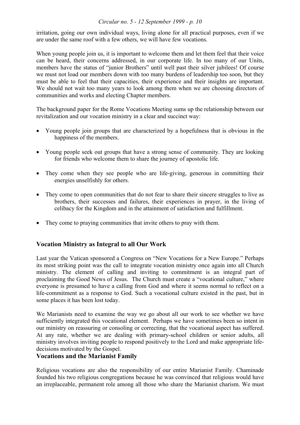irritation, going our own individual ways, living alone for all practical purposes, even if we are under the same roof with a few others, we will have few vocations.

When young people join us, it is important to welcome them and let them feel that their voice can be heard, their concerns addressed, in our corporate life. In too many of our Units, members have the status of "junior Brothers" until well past their silver jubilees! Of course we must not load our members down with too many burdens of leadership too soon, but they must be able to feel that their capacities, their experience and their insights are important. We should not wait too many years to look among them when we are choosing directors of communities and works and electing Chapter members.

The background paper for the Rome Vocations Meeting sums up the relationship between our revitalization and our vocation ministry in a clear and succinct way:

- Young people join groups that are characterized by a hopefulness that is obvious in the happiness of the members.
- Young people seek out groups that have a strong sense of community. They are looking for friends who welcome them to share the journey of apostolic life.
- They come when they see people who are life-giving, generous in committing their energies unselfishly for others.
- They come to open communities that do not fear to share their sincere struggles to live as brothers, their successes and failures, their experiences in prayer, in the living of celibacy for the Kingdom and in the attainment of satisfaction and fulfillment.
- They come to praying communities that invite others to pray with them.

## **Vocation Ministry as Integral to all Our Work**

Last year the Vatican sponsored a Congress on "New Vocations for a New Europe." Perhaps its most striking point was the call to integrate vocation ministry once again into all Church ministry. The element of calling and inviting to commitment is an integral part of proclaiming the Good News of Jesus. The Church must create a "vocational culture," where everyone is presumed to have a calling from God and where it seems normal to reflect on a life-commitment as a response to God. Such a vocational culture existed in the past, but in some places it has been lost today.

We Marianists need to examine the way we go about all our work to see whether we have sufficiently integrated this vocational element. Perhaps we have sometimes been so intent in our ministry on reassuring or consoling or correcting, that the vocational aspect has suffered. At any rate, whether we are dealing with primary-school children or senior adults, all ministry involves inviting people to respond positively to the Lord and make appropriate lifedecisions motivated by the Gospel.

## **Vocations and the Marianist Family**

Religious vocations are also the responsibility of our entire Marianist Family. Chaminade founded his two religious congregations because he was convinced that religious would have an irreplaceable, permanent role among all those who share the Marianist charism. We must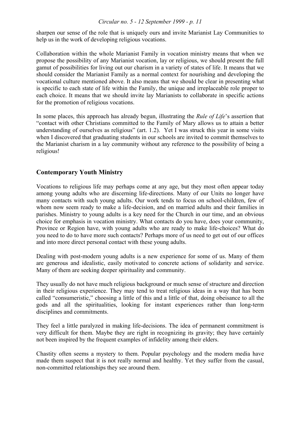sharpen our sense of the role that is uniquely ours and invite Marianist Lay Communities to help us in the work of developing religious vocations.

Collaboration within the whole Marianist Family in vocation ministry means that when we propose the possibility of any Marianist vocation, lay or religious, we should present the full gamut of possibilities for living out our charism in a variety of states of life. It means that we should consider the Marianist Family as a normal context for nourishing and developing the vocational culture mentioned above. It also means that we should be clear in presenting what is specific to each state of life within the Family, the unique and irreplaceable role proper to each choice. It means that we should invite lay Marianists to collaborate in specific actions for the promotion of religious vocations.

In some places, this approach has already begun, illustrating the *Rule of Life*'s assertion that "contact with other Christians committed to the Family of Mary allows us to attain a better understanding of ourselves as religious" (art. 1.2). Yet I was struck this year in some visits when I discovered that graduating students in our schools are invited to commit themselves to the Marianist charism in a lay community without any reference to the possibility of being a religious!

## **Contemporary Youth Ministry**

Vocations to religious life may perhaps come at any age, but they most often appear today among young adults who are discerning life-directions. Many of our Units no longer have many contacts with such young adults. Our work tends to focus on school-children, few of whom now seem ready to make a life-decision, and on married adults and their families in parishes. Ministry to young adults is a key need for the Church in our time, and an obvious choice for emphasis in vocation ministry. What contacts do you have, does your community, Province or Region have, with young adults who are ready to make life-choices? What do you need to do to have more such contacts? Perhaps more of us need to get out of our offices and into more direct personal contact with these young adults.

Dealing with post-modern young adults is a new experience for some of us. Many of them are generous and idealistic, easily motivated to concrete actions of solidarity and service. Many of them are seeking deeper spirituality and community.

They usually do not have much religious background or much sense of structure and direction in their religious experience. They may tend to treat religious ideas in a way that has been called "consumeristic," choosing a little of this and a little of that, doing obeisance to all the gods and all the spiritualities, looking for instant experiences rather than long-term disciplines and commitments.

They feel a little paralyzed in making life-decisions. The idea of permanent commitment is very difficult for them. Maybe they are right in recognizing its gravity; they have certainly not been inspired by the frequent examples of infidelity among their elders.

Chastity often seems a mystery to them. Popular psychology and the modern media have made them suspect that it is not really normal and healthy. Yet they suffer from the casual, non-committed relationships they see around them.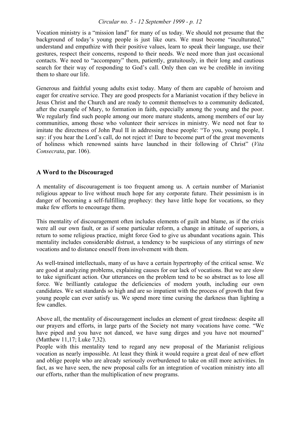Vocation ministry is a "mission land" for many of us today. We should not presume that the background of today's young people is just like ours. We must become "inculturated," understand and empathize with their positive values, learn to speak their language, use their gestures, respect their concerns, respond to their needs. We need more than just occasional contacts. We need to "accompany" them, patiently, gratuitously, in their long and cautious search for their way of responding to God's call. Only then can we be credible in inviting them to share our life.

Generous and faithful young adults exist today. Many of them are capable of heroism and eager for creative service. They are good prospects for a Marianist vocation if they believe in Jesus Christ and the Church and are ready to commit themselves to a community dedicated, after the example of Mary, to formation in faith, especially among the young and the poor. We regularly find such people among our more mature students, among members of our lay communities, among those who volunteer their services in ministry. We need not fear to imitate the directness of John Paul II in addressing these people: "To you, young people, I say: if you hear the Lord's call, do not reject it! Dare to become part of the great movements of holiness which renowned saints have launched in their following of Christ" (*Vita Consecrata*, par. 106).

## **A Word to the Discouraged**

A mentality of discouragement is too frequent among us. A certain number of Marianist religious appear to live without much hope for any corporate future. Their pessimism is in danger of becoming a self-fulfilling prophecy: they have little hope for vocations, so they make few efforts to encourage them.

This mentality of discouragement often includes elements of guilt and blame, as if the crisis were all our own fault, or as if some particular reform, a change in attitude of superiors, a return to some religious practice, might force God to give us abundant vocations again. This mentality includes considerable distrust, a tendency to be suspicious of any stirrings of new vocations and to distance oneself from involvement with them.

As well-trained intellectuals, many of us have a certain hypertrophy of the critical sense. We are good at analyzing problems, explaining causes for our lack of vocations. But we are slow to take significant action. Our utterances on the problem tend to be so abstract as to lose all force. We brilliantly catalogue the deficiencies of modern youth, including our own candidates. We set standards so high and are so impatient with the process of growth that few young people can ever satisfy us. We spend more time cursing the darkness than lighting a few candles.

Above all, the mentality of discouragement includes an element of great tiredness: despite all our prayers and efforts, in large parts of the Society not many vocations have come. "We have piped and you have not danced, we have sung dirges and you have not mourned" (Matthew 11,17; Luke 7,32).

People with this mentality tend to regard any new proposal of the Marianist religious vocation as nearly impossible. At least they think it would require a great deal of new effort and oblige people who are already seriously overburdened to take on still more activities. In fact, as we have seen, the new proposal calls for an integration of vocation ministry into all our efforts, rather than the multiplication of new programs.